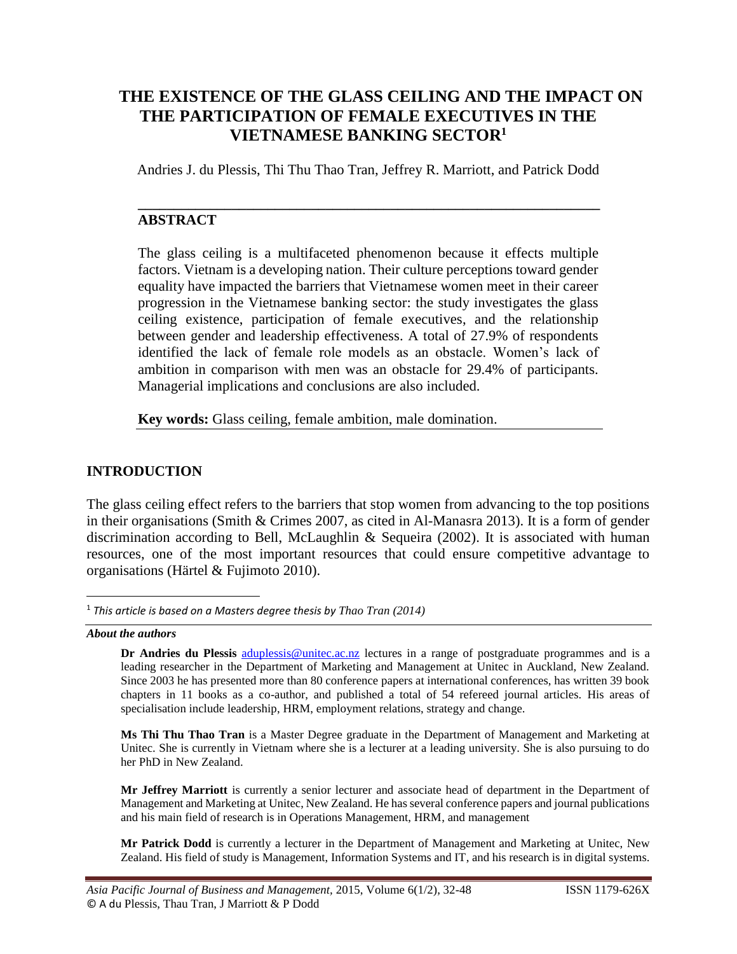# **THE EXISTENCE OF THE GLASS CEILING AND THE IMPACT ON THE PARTICIPATION OF FEMALE EXECUTIVES IN THE VIETNAMESE BANKING SECTOR<sup>1</sup>**

Andries J. du Plessis, Thi Thu Thao Tran, Jeffrey R. Marriott, and Patrick Dodd

**\_\_\_\_\_\_\_\_\_\_\_\_\_\_\_\_\_\_\_\_\_\_\_\_\_\_\_\_\_\_\_\_\_\_\_\_\_\_\_\_\_\_\_\_\_\_\_\_\_\_\_\_\_\_\_\_\_\_\_\_\_\_\_\_**

## **ABSTRACT**

The glass ceiling is a multifaceted phenomenon because it effects multiple factors. Vietnam is a developing nation. Their culture perceptions toward gender equality have impacted the barriers that Vietnamese women meet in their career progression in the Vietnamese banking sector: the study investigates the glass ceiling existence, participation of female executives, and the relationship between gender and leadership effectiveness. A total of 27.9% of respondents identified the lack of female role models as an obstacle. Women's lack of ambition in comparison with men was an obstacle for 29.4% of participants. Managerial implications and conclusions are also included.

**Key words:** Glass ceiling, female ambition, male domination.

## **INTRODUCTION**

The glass ceiling effect refers to the barriers that stop women from advancing to the top positions in their organisations (Smith & Crimes 2007, as cited in Al-Manasra 2013). It is a form of gender discrimination according to Bell, McLaughlin & Sequeira (2002). It is associated with human resources, one of the most important resources that could ensure competitive advantage to organisations (Härtel & Fujimoto 2010).

*About the authors*

 $\overline{\phantom{a}}$ 

**Dr Andries du Plessis** [aduplessis@unitec.ac.nz](mailto:aduplessis@unitec.ac.nz) lectures in a range of postgraduate programmes and is a leading researcher in the Department of Marketing and Management at Unitec in Auckland, New Zealand. Since 2003 he has presented more than 80 conference papers at international conferences, has written 39 book chapters in 11 books as a co-author, and published a total of 54 refereed journal articles. His areas of specialisation include leadership, HRM, employment relations, strategy and change.

**Ms Thi Thu Thao Tran** is a Master Degree graduate in the Department of Management and Marketing at Unitec. She is currently in Vietnam where she is a lecturer at a leading university. She is also pursuing to do her PhD in New Zealand.

**Mr Jeffrey Marriott** is currently a senior lecturer and associate head of department in the Department of Management and Marketing at Unitec, New Zealand. He has several conference papers and journal publications and his main field of research is in Operations Management, HRM, and management

**Mr Patrick Dodd** is currently a lecturer in the Department of Management and Marketing at Unitec, New Zealand. His field of study is Management, Information Systems and IT, and his research is in digital systems.

<sup>1</sup> *This article is based on a Masters degree thesis by Thao Tran (2014)*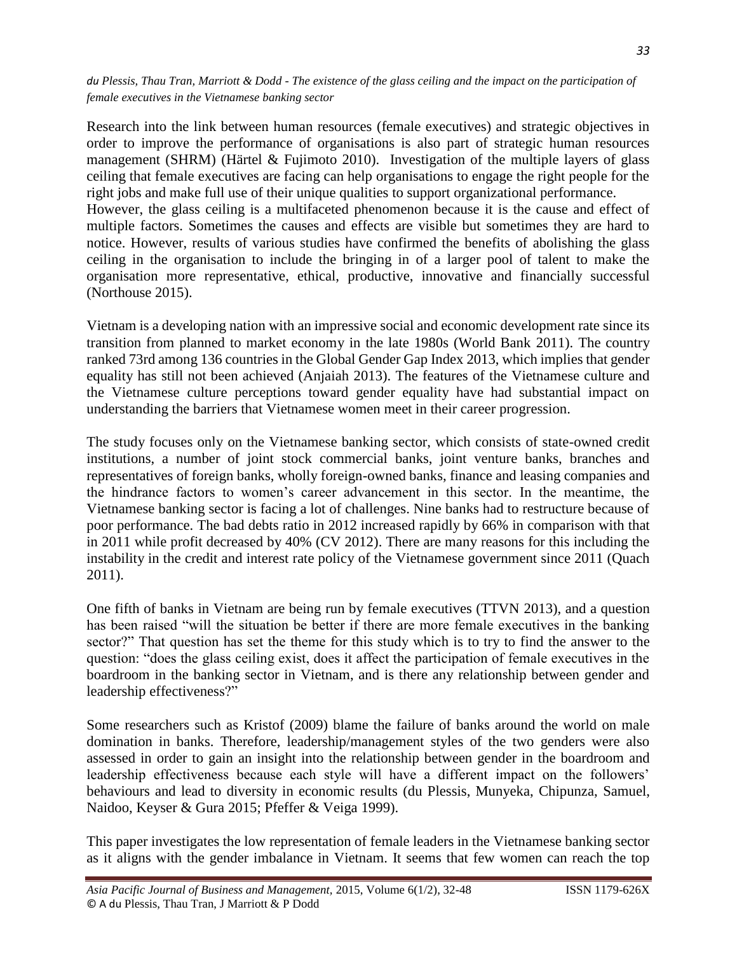Research into the link between human resources (female executives) and strategic objectives in order to improve the performance of organisations is also part of strategic human resources management (SHRM) (Härtel & Fujimoto 2010). Investigation of the multiple layers of glass ceiling that female executives are facing can help organisations to engage the right people for the right jobs and make full use of their unique qualities to support organizational performance. However, the glass ceiling is a multifaceted phenomenon because it is the cause and effect of multiple factors. Sometimes the causes and effects are visible but sometimes they are hard to notice. However, results of various studies have confirmed the benefits of abolishing the glass ceiling in the organisation to include the bringing in of a larger pool of talent to make the organisation more representative, ethical, productive, innovative and financially successful

Vietnam is a developing nation with an impressive social and economic development rate since its transition from planned to market economy in the late 1980s (World Bank 2011). The country ranked 73rd among 136 countries in the Global Gender Gap Index 2013, which implies that gender equality has still not been achieved (Anjaiah 2013). The features of the Vietnamese culture and the Vietnamese culture perceptions toward gender equality have had substantial impact on understanding the barriers that Vietnamese women meet in their career progression.

(Northouse 2015).

The study focuses only on the Vietnamese banking sector, which consists of state-owned credit institutions, a number of joint stock commercial banks, joint venture banks, branches and representatives of foreign banks, wholly foreign-owned banks, finance and leasing companies and the hindrance factors to women's career advancement in this sector. In the meantime, the Vietnamese banking sector is facing a lot of challenges. Nine banks had to restructure because of poor performance. The bad debts ratio in 2012 increased rapidly by 66% in comparison with that in 2011 while profit decreased by 40% (CV 2012). There are many reasons for this including the instability in the credit and interest rate policy of the Vietnamese government since 2011 (Quach 2011).

One fifth of banks in Vietnam are being run by female executives (TTVN 2013), and a question has been raised "will the situation be better if there are more female executives in the banking sector?" That question has set the theme for this study which is to try to find the answer to the question: "does the glass ceiling exist, does it affect the participation of female executives in the boardroom in the banking sector in Vietnam, and is there any relationship between gender and leadership effectiveness?"

Some researchers such as Kristof (2009) blame the failure of banks around the world on male domination in banks. Therefore, leadership/management styles of the two genders were also assessed in order to gain an insight into the relationship between gender in the boardroom and leadership effectiveness because each style will have a different impact on the followers' behaviours and lead to diversity in economic results (du Plessis, Munyeka, Chipunza, Samuel, Naidoo, Keyser & Gura 2015; Pfeffer & Veiga 1999).

This paper investigates the low representation of female leaders in the Vietnamese banking sector as it aligns with the gender imbalance in Vietnam. It seems that few women can reach the top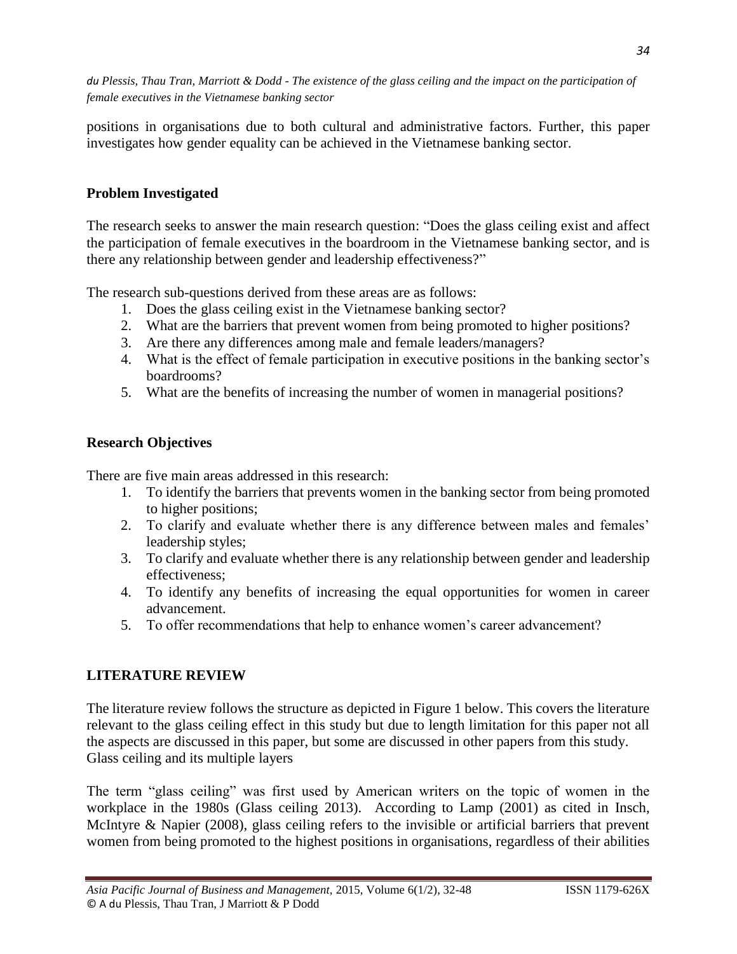positions in organisations due to both cultural and administrative factors. Further, this paper investigates how gender equality can be achieved in the Vietnamese banking sector.

## **Problem Investigated**

The research seeks to answer the main research question: "Does the glass ceiling exist and affect the participation of female executives in the boardroom in the Vietnamese banking sector, and is there any relationship between gender and leadership effectiveness?"

The research sub-questions derived from these areas are as follows:

- 1. Does the glass ceiling exist in the Vietnamese banking sector?
- 2. What are the barriers that prevent women from being promoted to higher positions?
- 3. Are there any differences among male and female leaders/managers?
- 4. What is the effect of female participation in executive positions in the banking sector's boardrooms?
- 5. What are the benefits of increasing the number of women in managerial positions?

## **Research Objectives**

There are five main areas addressed in this research:

- 1. To identify the barriers that prevents women in the banking sector from being promoted to higher positions;
- 2. To clarify and evaluate whether there is any difference between males and females' leadership styles;
- 3. To clarify and evaluate whether there is any relationship between gender and leadership effectiveness;
- 4. To identify any benefits of increasing the equal opportunities for women in career advancement.
- 5. To offer recommendations that help to enhance women's career advancement?

## **LITERATURE REVIEW**

The literature review follows the structure as depicted in Figure 1 below. This covers the literature relevant to the glass ceiling effect in this study but due to length limitation for this paper not all the aspects are discussed in this paper, but some are discussed in other papers from this study. Glass ceiling and its multiple layers

The term "glass ceiling" was first used by American writers on the topic of women in the workplace in the 1980s (Glass ceiling 2013). According to Lamp (2001) as cited in Insch, McIntyre & Napier (2008), glass ceiling refers to the invisible or artificial barriers that prevent women from being promoted to the highest positions in organisations, regardless of their abilities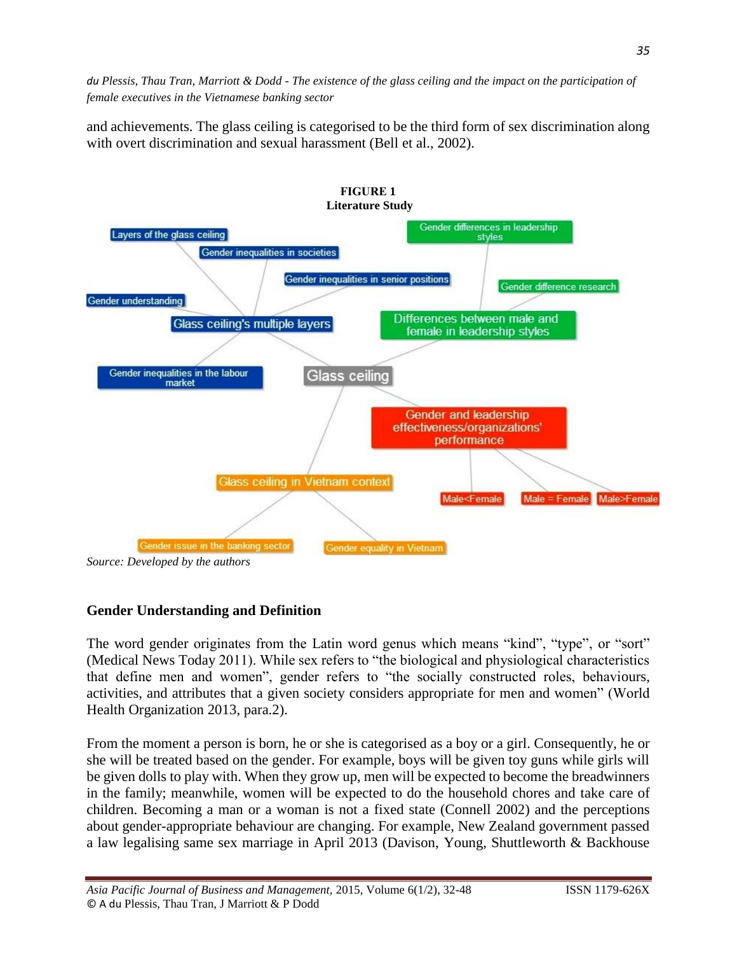and achievements. The glass ceiling is categorised to be the third form of sex discrimination along with overt discrimination and sexual harassment (Bell et al., 2002).



*Source: Developed by the authors*

## **Gender Understanding and Definition**

The word gender originates from the Latin word genus which means "kind", "type", or "sort" (Medical News Today 2011). While sex refers to "the biological and physiological characteristics that define men and women", gender refers to "the socially constructed roles, behaviours, activities, and attributes that a given society considers appropriate for men and women" (World Health Organization 2013, para.2).

From the moment a person is born, he or she is categorised as a boy or a girl. Consequently, he or she will be treated based on the gender. For example, boys will be given toy guns while girls will be given dolls to play with. When they grow up, men will be expected to become the breadwinners in the family; meanwhile, women will be expected to do the household chores and take care of children. Becoming a man or a woman is not a fixed state (Connell 2002) and the perceptions about gender-appropriate behaviour are changing. For example, New Zealand government passed a law legalising same sex marriage in April 2013 (Davison, Young, Shuttleworth & Backhouse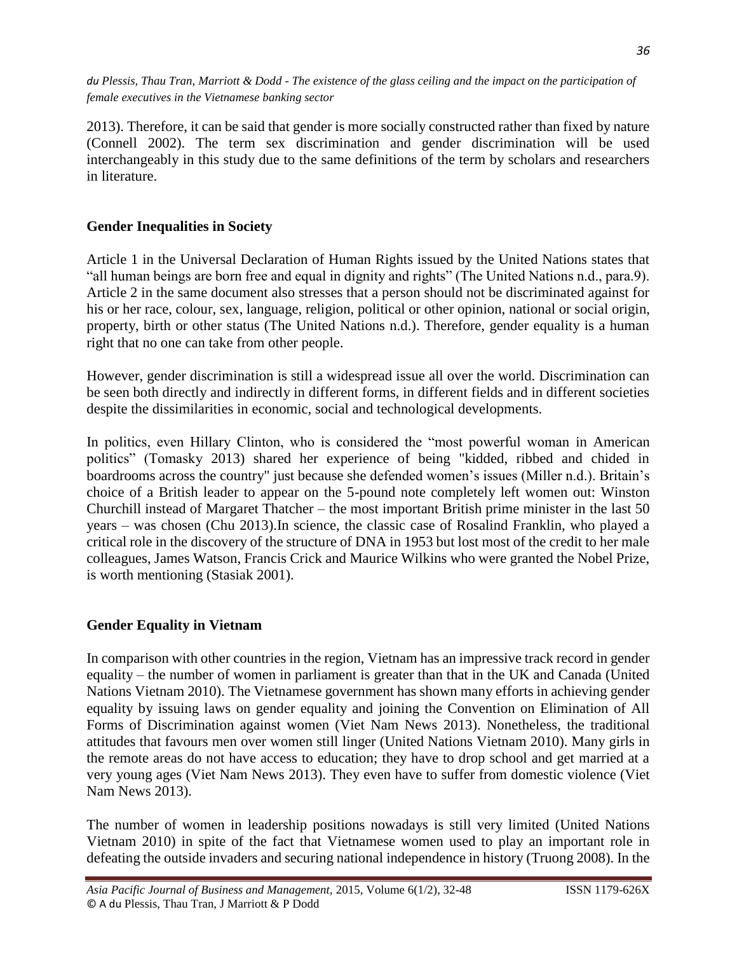2013). Therefore, it can be said that gender is more socially constructed rather than fixed by nature (Connell 2002). The term sex discrimination and gender discrimination will be used interchangeably in this study due to the same definitions of the term by scholars and researchers in literature.

## **Gender Inequalities in Society**

Article 1 in the Universal Declaration of Human Rights issued by the United Nations states that "all human beings are born free and equal in dignity and rights" (The United Nations n.d., para.9). Article 2 in the same document also stresses that a person should not be discriminated against for his or her race, colour, sex, language, religion, political or other opinion, national or social origin, property, birth or other status (The United Nations n.d.). Therefore, gender equality is a human right that no one can take from other people.

However, gender discrimination is still a widespread issue all over the world. Discrimination can be seen both directly and indirectly in different forms, in different fields and in different societies despite the dissimilarities in economic, social and technological developments.

In politics, even Hillary Clinton, who is considered the "most powerful woman in American politics" (Tomasky 2013) shared her experience of being "kidded, ribbed and chided in boardrooms across the country" just because she defended women's issues (Miller n.d.). Britain's choice of a British leader to appear on the 5-pound note completely left women out: Winston Churchill instead of Margaret Thatcher – the most important British prime minister in the last 50 years – was chosen (Chu 2013).In science, the classic case of Rosalind Franklin, who played a critical role in the discovery of the structure of DNA in 1953 but lost most of the credit to her male colleagues, James Watson, Francis Crick and Maurice Wilkins who were granted the Nobel Prize, is worth mentioning (Stasiak 2001).

## **Gender Equality in Vietnam**

In comparison with other countries in the region, Vietnam has an impressive track record in gender equality – the number of women in parliament is greater than that in the UK and Canada (United Nations Vietnam 2010). The Vietnamese government has shown many efforts in achieving gender equality by issuing laws on gender equality and joining the Convention on Elimination of All Forms of Discrimination against women (Viet Nam News 2013). Nonetheless, the traditional attitudes that favours men over women still linger (United Nations Vietnam 2010). Many girls in the remote areas do not have access to education; they have to drop school and get married at a very young ages (Viet Nam News 2013). They even have to suffer from domestic violence (Viet Nam News 2013).

The number of women in leadership positions nowadays is still very limited (United Nations Vietnam 2010) in spite of the fact that Vietnamese women used to play an important role in defeating the outside invaders and securing national independence in history (Truong 2008). In the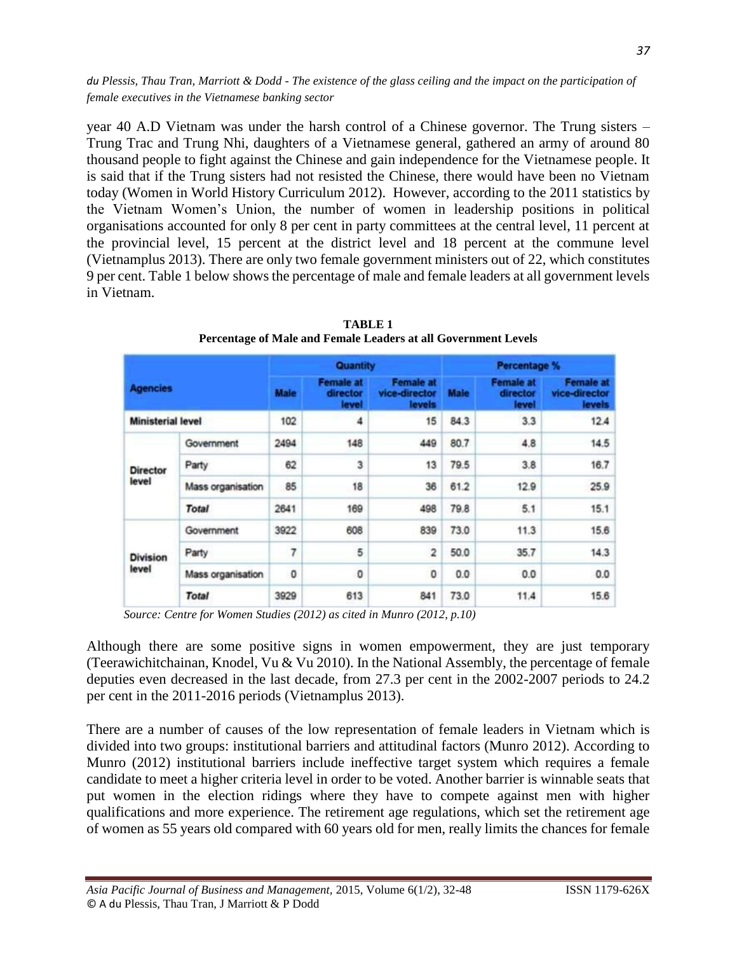year 40 A.D Vietnam was under the harsh control of a Chinese governor. The Trung sisters – Trung Trac and Trung Nhi, daughters of a Vietnamese general, gathered an army of around 80 thousand people to fight against the Chinese and gain independence for the Vietnamese people. It is said that if the Trung sisters had not resisted the Chinese, there would have been no Vietnam today (Women in World History Curriculum 2012). However, according to the 2011 statistics by the Vietnam Women's Union, the number of women in leadership positions in political organisations accounted for only 8 per cent in party committees at the central level, 11 percent at the provincial level, 15 percent at the district level and 18 percent at the commune level (Vietnamplus 2013). There are only two female government ministers out of 22, which constitutes 9 per cent. Table 1 below shows the percentage of male and female leaders at all government levels in Vietnam.

|                                             |                   | Quantity                 |                                            |                                                   | Percentage %        |                                              |                                                     |                          |
|---------------------------------------------|-------------------|--------------------------|--------------------------------------------|---------------------------------------------------|---------------------|----------------------------------------------|-----------------------------------------------------|--------------------------|
| <b>Agencies</b><br><b>Ministerial level</b> |                   | <b>Maie</b><br>102       | <b>Female at</b><br>director<br>level<br>4 | <b>Female at</b><br>vice-director<br>levels<br>15 | <b>Male</b><br>84.3 | <b>Female at</b><br>director<br>level<br>3.3 | <b>Female at</b><br>vice-director<br>levels<br>12.4 |                          |
|                                             |                   |                          |                                            |                                                   |                     |                                              |                                                     | <b>Director</b><br>level |
| Party                                       | 62                | 3                        | 13                                         | 79.5                                              | 3.8                 | 16.7                                         |                                                     |                          |
| Mass organisation                           | 85                | 18                       | 36                                         | 61.2                                              | 12.9                | 25.9                                         |                                                     |                          |
| <b>Total</b>                                | 2641              | 169                      | 498                                        | 79.8                                              | 5.1                 | 15.1                                         |                                                     |                          |
| <b>Division</b><br>level                    | Government        | 3922                     | 608                                        | 839                                               | 73.0                | 11.3                                         | 15.6                                                |                          |
|                                             | Party             | $\overline{\phantom{a}}$ | 5                                          | $\overline{2}$                                    | 50.0                | 35.7                                         | 14.3                                                |                          |
|                                             | Mass organisation | 0                        | 0                                          | 0                                                 | 0.0                 | 0.0                                          | 0.0                                                 |                          |
|                                             | <b>Total</b>      | 3929                     | 613                                        | 841                                               | 73.0                | 11.4                                         | 15.6                                                |                          |

**TABLE 1 Percentage of Male and Female Leaders at all Government Levels**

*Source: Centre for Women Studies (2012) as cited in Munro (2012, p.10)*

Although there are some positive signs in women empowerment, they are just temporary (Teerawichitchainan, Knodel, Vu & Vu 2010). In the National Assembly, the percentage of female deputies even decreased in the last decade, from 27.3 per cent in the 2002-2007 periods to 24.2 per cent in the 2011-2016 periods (Vietnamplus 2013).

There are a number of causes of the low representation of female leaders in Vietnam which is divided into two groups: institutional barriers and attitudinal factors (Munro 2012). According to Munro (2012) institutional barriers include ineffective target system which requires a female candidate to meet a higher criteria level in order to be voted. Another barrier is winnable seats that put women in the election ridings where they have to compete against men with higher qualifications and more experience. The retirement age regulations, which set the retirement age of women as 55 years old compared with 60 years old for men, really limits the chances for female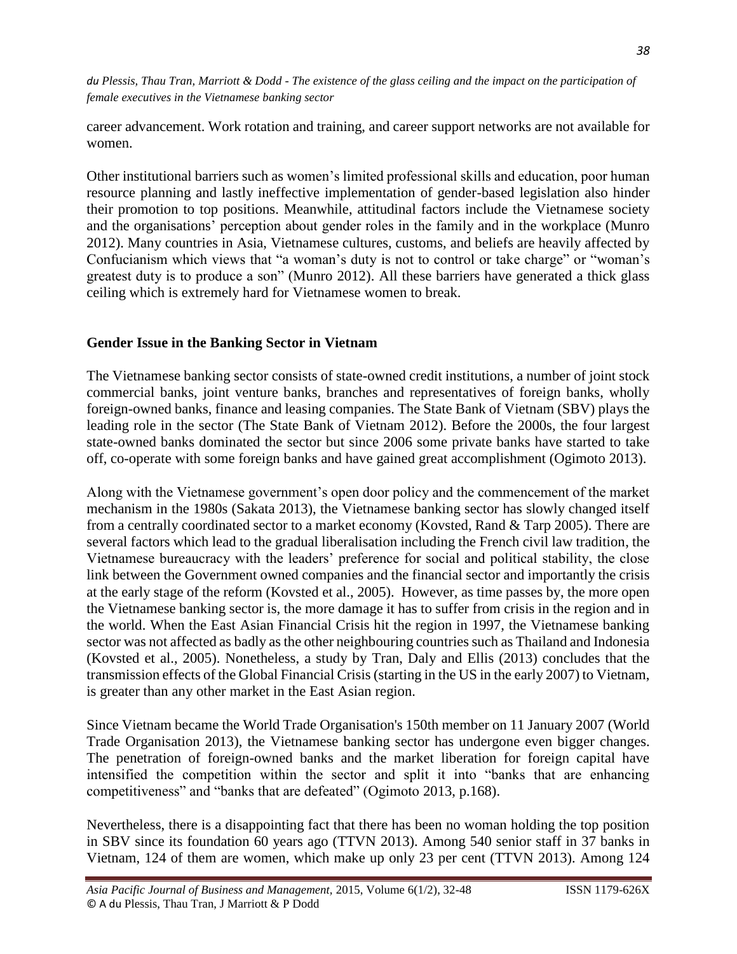career advancement. Work rotation and training, and career support networks are not available for women.

Other institutional barriers such as women's limited professional skills and education, poor human resource planning and lastly ineffective implementation of gender-based legislation also hinder their promotion to top positions. Meanwhile, attitudinal factors include the Vietnamese society and the organisations' perception about gender roles in the family and in the workplace (Munro 2012). Many countries in Asia, Vietnamese cultures, customs, and beliefs are heavily affected by Confucianism which views that "a woman's duty is not to control or take charge" or "woman's greatest duty is to produce a son" (Munro 2012). All these barriers have generated a thick glass ceiling which is extremely hard for Vietnamese women to break.

## **Gender Issue in the Banking Sector in Vietnam**

The Vietnamese banking sector consists of state-owned credit institutions, a number of joint stock commercial banks, joint venture banks, branches and representatives of foreign banks, wholly foreign-owned banks, finance and leasing companies. The State Bank of Vietnam (SBV) plays the leading role in the sector (The State Bank of Vietnam 2012). Before the 2000s, the four largest state-owned banks dominated the sector but since 2006 some private banks have started to take off, co-operate with some foreign banks and have gained great accomplishment (Ogimoto 2013).

Along with the Vietnamese government's open door policy and the commencement of the market mechanism in the 1980s (Sakata 2013), the Vietnamese banking sector has slowly changed itself from a centrally coordinated sector to a market economy (Kovsted, Rand & Tarp 2005). There are several factors which lead to the gradual liberalisation including the French civil law tradition, the Vietnamese bureaucracy with the leaders' preference for social and political stability, the close link between the Government owned companies and the financial sector and importantly the crisis at the early stage of the reform (Kovsted et al., 2005). However, as time passes by, the more open the Vietnamese banking sector is, the more damage it has to suffer from crisis in the region and in the world. When the East Asian Financial Crisis hit the region in 1997, the Vietnamese banking sector was not affected as badly as the other neighbouring countries such as Thailand and Indonesia (Kovsted et al., 2005). Nonetheless, a study by Tran, Daly and Ellis (2013) concludes that the transmission effects of the Global Financial Crisis (starting in the US in the early 2007) to Vietnam, is greater than any other market in the East Asian region.

Since Vietnam became the World Trade Organisation's 150th member on 11 January 2007 (World Trade Organisation 2013), the Vietnamese banking sector has undergone even bigger changes. The penetration of foreign-owned banks and the market liberation for foreign capital have intensified the competition within the sector and split it into "banks that are enhancing competitiveness" and "banks that are defeated" (Ogimoto 2013, p.168).

Nevertheless, there is a disappointing fact that there has been no woman holding the top position in SBV since its foundation 60 years ago (TTVN 2013). Among 540 senior staff in 37 banks in Vietnam, 124 of them are women, which make up only 23 per cent (TTVN 2013). Among 124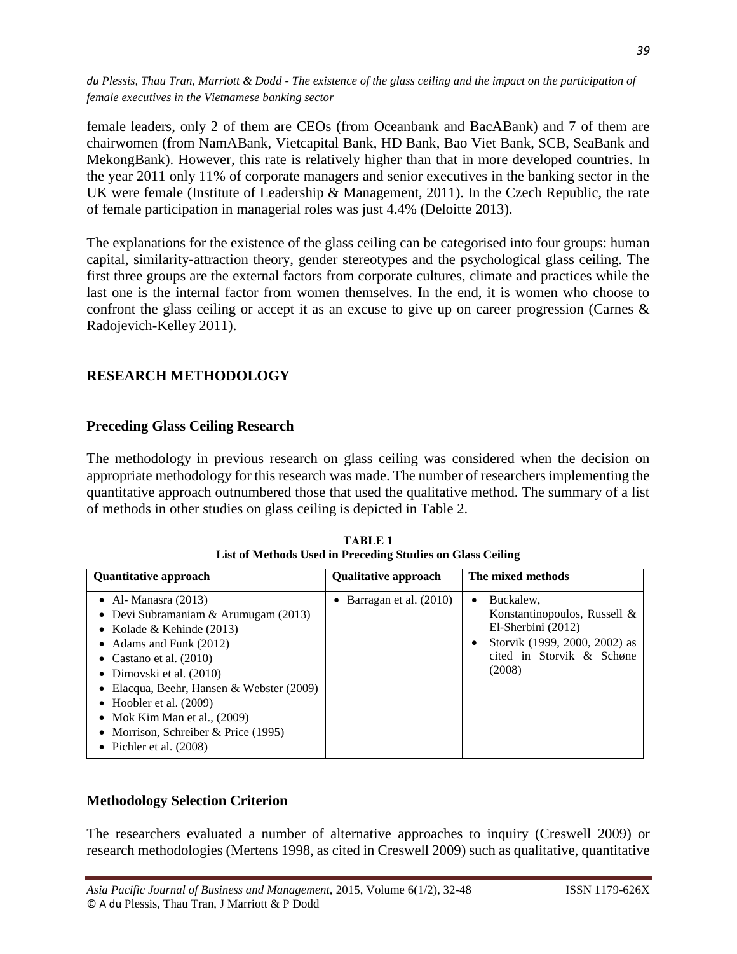female leaders, only 2 of them are CEOs (from Oceanbank and BacABank) and 7 of them are chairwomen (from NamABank, Vietcapital Bank, HD Bank, Bao Viet Bank, SCB, SeaBank and MekongBank). However, this rate is relatively higher than that in more developed countries. In the year 2011 only 11% of corporate managers and senior executives in the banking sector in the UK were female (Institute of Leadership & Management, 2011). In the Czech Republic, the rate of female participation in managerial roles was just 4.4% (Deloitte 2013).

The explanations for the existence of the glass ceiling can be categorised into four groups: human capital, similarity-attraction theory, gender stereotypes and the psychological glass ceiling. The first three groups are the external factors from corporate cultures, climate and practices while the last one is the internal factor from women themselves. In the end, it is women who choose to confront the glass ceiling or accept it as an excuse to give up on career progression (Carnes & Radojevich-Kelley 2011).

## **RESEARCH METHODOLOGY**

### **Preceding Glass Ceiling Research**

The methodology in previous research on glass ceiling was considered when the decision on appropriate methodology for this research was made. The number of researchers implementing the quantitative approach outnumbered those that used the qualitative method. The summary of a list of methods in other studies on glass ceiling is depicted in Table 2.

| <b>Quantitative approach</b>                                                                                                                                                                                                                                                                                                                                               | <b>Qualitative approach</b> | The mixed methods                                                                                                                                      |
|----------------------------------------------------------------------------------------------------------------------------------------------------------------------------------------------------------------------------------------------------------------------------------------------------------------------------------------------------------------------------|-----------------------------|--------------------------------------------------------------------------------------------------------------------------------------------------------|
| • Al- Manasra $(2013)$<br>• Devi Subramaniam & Arumugam $(2013)$<br>• Kolade & Kehinde $(2013)$<br>• Adams and Funk $(2012)$<br>• Castano et al. $(2010)$<br>• Dimovski et al. $(2010)$<br>• Elacqua, Beehr, Hansen & Webster (2009)<br>• Hoobler et al. $(2009)$<br>• Mok Kim Man et al., $(2009)$<br>• Morrison, Schreiber & Price $(1995)$<br>• Pichler et al. $(2008)$ | • Barragan et al. $(2010)$  | Buckalew.<br>$\bullet$<br>Konstantinopoulos, Russell $&$<br>El-Sherbini (2012)<br>Storvik (1999, 2000, 2002) as<br>cited in Storvik & Schøne<br>(2008) |

**TABLE 1 List of Methods Used in Preceding Studies on Glass Ceiling**

#### **Methodology Selection Criterion**

The researchers evaluated a number of alternative approaches to inquiry (Creswell 2009) or research methodologies (Mertens 1998, as cited in Creswell 2009) such as qualitative, quantitative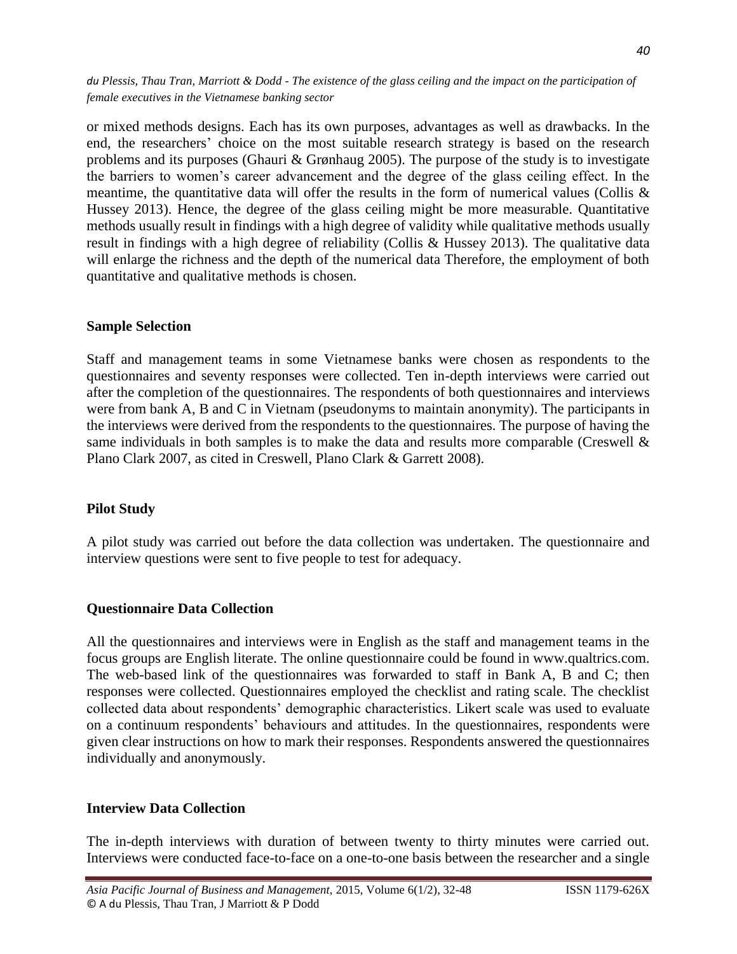or mixed methods designs. Each has its own purposes, advantages as well as drawbacks. In the end, the researchers' choice on the most suitable research strategy is based on the research problems and its purposes (Ghauri  $\&$  Grønhaug 2005). The purpose of the study is to investigate the barriers to women's career advancement and the degree of the glass ceiling effect. In the meantime, the quantitative data will offer the results in the form of numerical values (Collis  $\&$ Hussey 2013). Hence, the degree of the glass ceiling might be more measurable. Quantitative methods usually result in findings with a high degree of validity while qualitative methods usually result in findings with a high degree of reliability (Collis & Hussey 2013). The qualitative data will enlarge the richness and the depth of the numerical data Therefore, the employment of both quantitative and qualitative methods is chosen.

#### **Sample Selection**

Staff and management teams in some Vietnamese banks were chosen as respondents to the questionnaires and seventy responses were collected. Ten in-depth interviews were carried out after the completion of the questionnaires. The respondents of both questionnaires and interviews were from bank A, B and C in Vietnam (pseudonyms to maintain anonymity). The participants in the interviews were derived from the respondents to the questionnaires. The purpose of having the same individuals in both samples is to make the data and results more comparable (Creswell  $\&$ Plano Clark 2007, as cited in Creswell, Plano Clark & Garrett 2008).

## **Pilot Study**

A pilot study was carried out before the data collection was undertaken. The questionnaire and interview questions were sent to five people to test for adequacy.

#### **Questionnaire Data Collection**

All the questionnaires and interviews were in English as the staff and management teams in the focus groups are English literate. The online questionnaire could be found in www.qualtrics.com. The web-based link of the questionnaires was forwarded to staff in Bank A, B and C; then responses were collected. Questionnaires employed the checklist and rating scale. The checklist collected data about respondents' demographic characteristics. Likert scale was used to evaluate on a continuum respondents' behaviours and attitudes. In the questionnaires, respondents were given clear instructions on how to mark their responses. Respondents answered the questionnaires individually and anonymously.

## **Interview Data Collection**

The in-depth interviews with duration of between twenty to thirty minutes were carried out. Interviews were conducted face-to-face on a one-to-one basis between the researcher and a single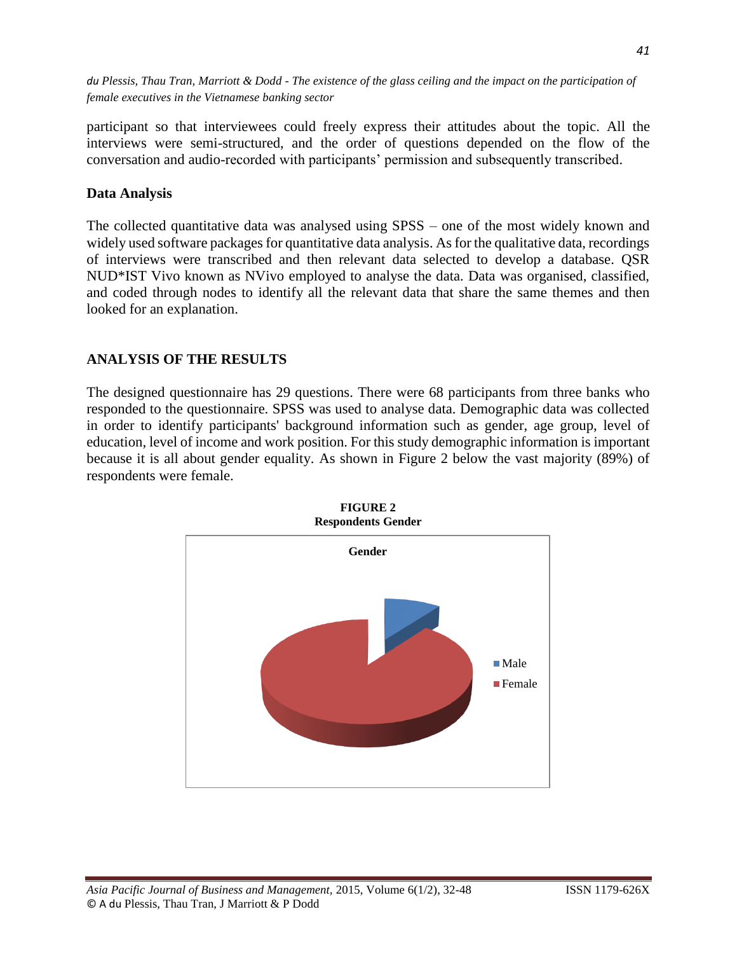participant so that interviewees could freely express their attitudes about the topic. All the interviews were semi-structured, and the order of questions depended on the flow of the conversation and audio-recorded with participants' permission and subsequently transcribed.

### **Data Analysis**

The collected quantitative data was analysed using SPSS – one of the most widely known and widely used software packages for quantitative data analysis. As for the qualitative data, recordings of interviews were transcribed and then relevant data selected to develop a database. QSR NUD\*IST Vivo known as NVivo employed to analyse the data. Data was organised, classified, and coded through nodes to identify all the relevant data that share the same themes and then looked for an explanation.

### **ANALYSIS OF THE RESULTS**

The designed questionnaire has 29 questions. There were 68 participants from three banks who responded to the questionnaire. SPSS was used to analyse data. Demographic data was collected in order to identify participants' background information such as gender, age group, level of education, level of income and work position. For this study demographic information is important because it is all about gender equality. As shown in Figure 2 below the vast majority (89%) of respondents were female.



![](_page_9_Figure_7.jpeg)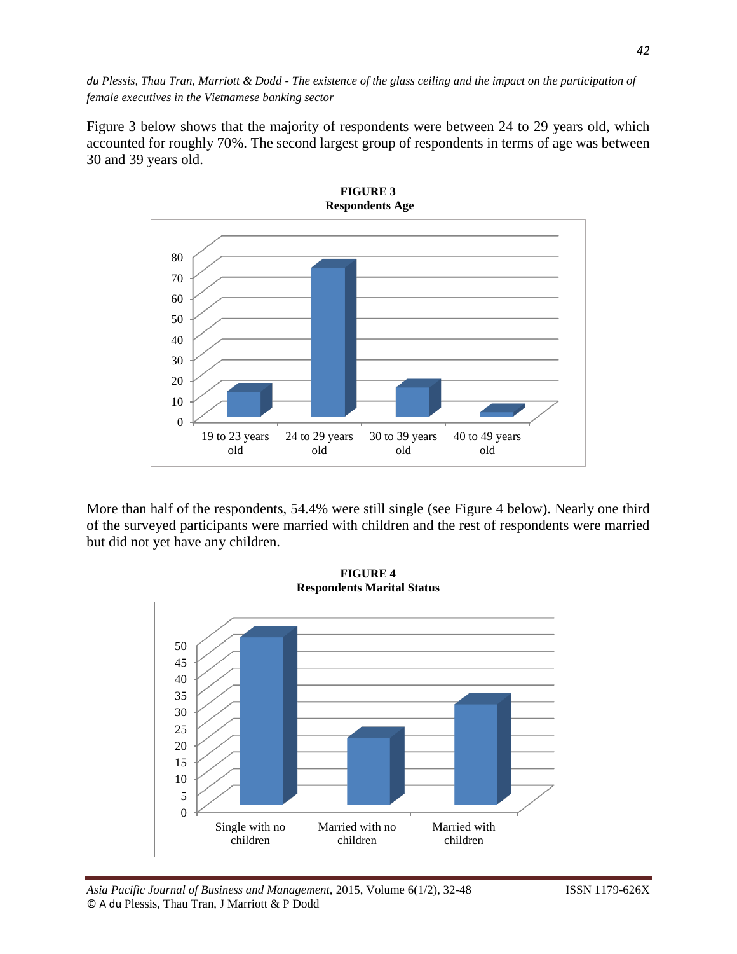Figure 3 below shows that the majority of respondents were between 24 to 29 years old, which accounted for roughly 70%. The second largest group of respondents in terms of age was between 30 and 39 years old.

![](_page_10_Figure_2.jpeg)

More than half of the respondents, 54.4% were still single (see Figure 4 below). Nearly one third of the surveyed participants were married with children and the rest of respondents were married but did not yet have any children.

![](_page_10_Figure_4.jpeg)

![](_page_10_Figure_5.jpeg)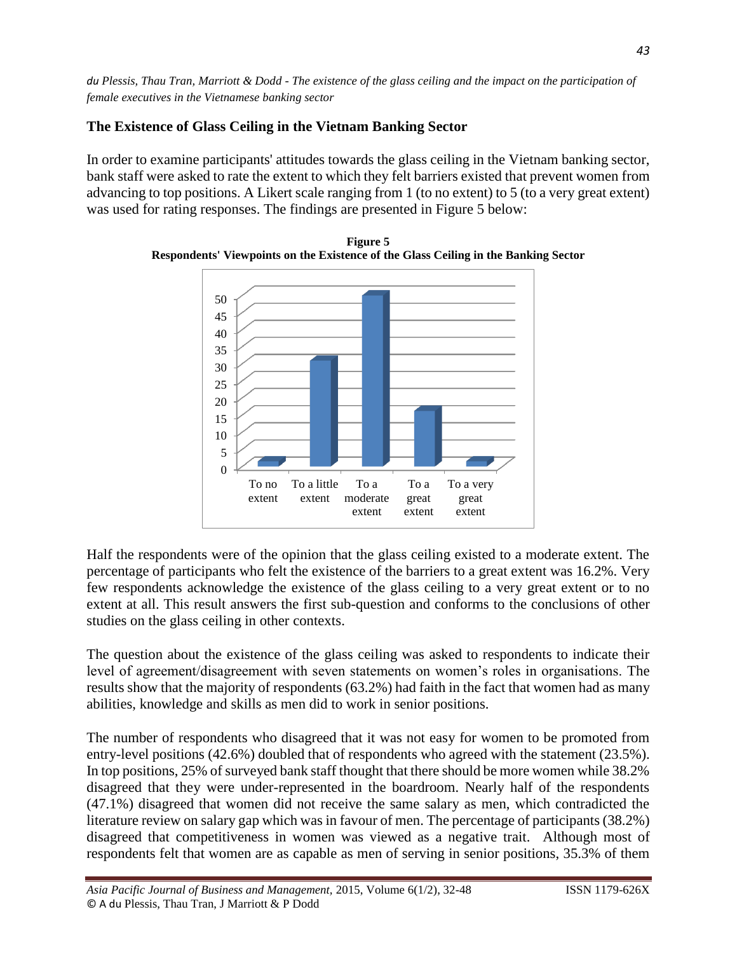## **The Existence of Glass Ceiling in the Vietnam Banking Sector**

In order to examine participants' attitudes towards the glass ceiling in the Vietnam banking sector, bank staff were asked to rate the extent to which they felt barriers existed that prevent women from advancing to top positions. A Likert scale ranging from 1 (to no extent) to 5 (to a very great extent) was used for rating responses. The findings are presented in Figure 5 below:

![](_page_11_Figure_3.jpeg)

**Figure 5 Respondents' Viewpoints on the Existence of the Glass Ceiling in the Banking Sector**

Half the respondents were of the opinion that the glass ceiling existed to a moderate extent. The percentage of participants who felt the existence of the barriers to a great extent was 16.2%. Very few respondents acknowledge the existence of the glass ceiling to a very great extent or to no extent at all. This result answers the first sub-question and conforms to the conclusions of other studies on the glass ceiling in other contexts.

The question about the existence of the glass ceiling was asked to respondents to indicate their level of agreement/disagreement with seven statements on women's roles in organisations. The results show that the majority of respondents (63.2%) had faith in the fact that women had as many abilities, knowledge and skills as men did to work in senior positions.

The number of respondents who disagreed that it was not easy for women to be promoted from entry-level positions (42.6%) doubled that of respondents who agreed with the statement (23.5%). In top positions, 25% of surveyed bank staff thought that there should be more women while 38.2% disagreed that they were under-represented in the boardroom. Nearly half of the respondents (47.1%) disagreed that women did not receive the same salary as men, which contradicted the literature review on salary gap which was in favour of men. The percentage of participants (38.2%) disagreed that competitiveness in women was viewed as a negative trait. Although most of respondents felt that women are as capable as men of serving in senior positions, 35.3% of them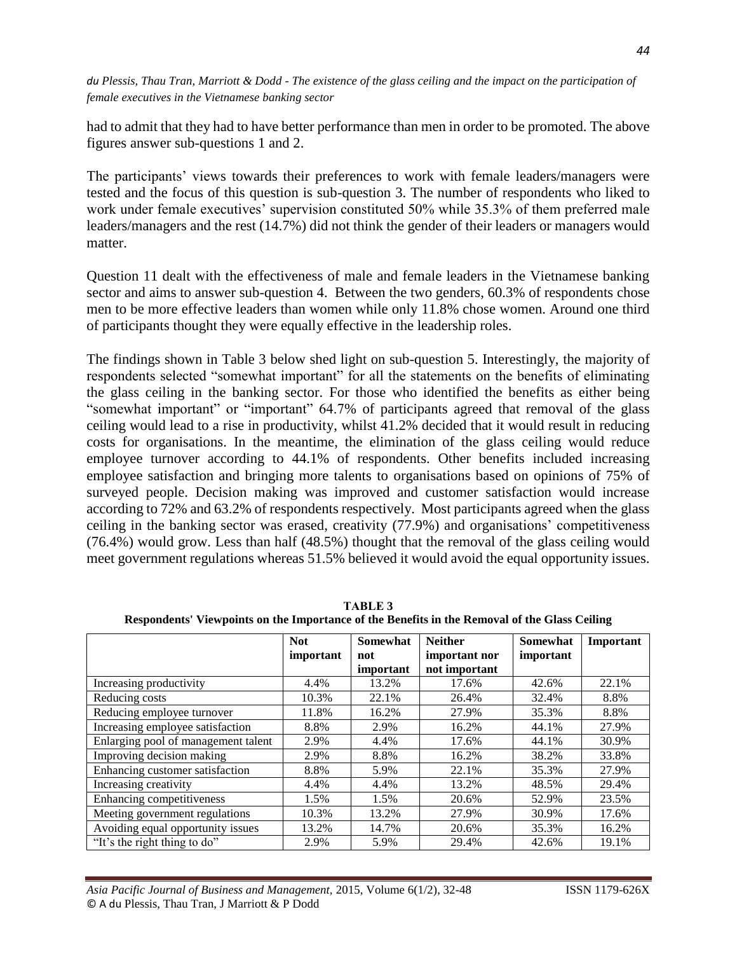had to admit that they had to have better performance than men in order to be promoted. The above figures answer sub-questions 1 and 2.

The participants' views towards their preferences to work with female leaders/managers were tested and the focus of this question is sub-question 3. The number of respondents who liked to work under female executives' supervision constituted 50% while 35.3% of them preferred male leaders/managers and the rest (14.7%) did not think the gender of their leaders or managers would matter.

Question 11 dealt with the effectiveness of male and female leaders in the Vietnamese banking sector and aims to answer sub-question 4. Between the two genders, 60.3% of respondents chose men to be more effective leaders than women while only 11.8% chose women. Around one third of participants thought they were equally effective in the leadership roles.

The findings shown in Table 3 below shed light on sub-question 5. Interestingly, the majority of respondents selected "somewhat important" for all the statements on the benefits of eliminating the glass ceiling in the banking sector. For those who identified the benefits as either being "somewhat important" or "important" 64.7% of participants agreed that removal of the glass ceiling would lead to a rise in productivity, whilst 41.2% decided that it would result in reducing costs for organisations. In the meantime, the elimination of the glass ceiling would reduce employee turnover according to 44.1% of respondents. Other benefits included increasing employee satisfaction and bringing more talents to organisations based on opinions of 75% of surveyed people. Decision making was improved and customer satisfaction would increase according to 72% and 63.2% of respondents respectively. Most participants agreed when the glass ceiling in the banking sector was erased, creativity (77.9%) and organisations' competitiveness (76.4%) would grow. Less than half (48.5%) thought that the removal of the glass ceiling would meet government regulations whereas 51.5% believed it would avoid the equal opportunity issues.

|                                     | <b>Not</b><br>important | Somewhat<br>not<br>important | <b>Neither</b><br>important nor<br>not important | Somewhat<br>important | Important |
|-------------------------------------|-------------------------|------------------------------|--------------------------------------------------|-----------------------|-----------|
| Increasing productivity             | 4.4%                    | 13.2%                        | 17.6%                                            | 42.6%                 | 22.1%     |
| Reducing costs                      | 10.3%                   | 22.1%                        | 26.4%                                            | 32.4%                 | 8.8%      |
| Reducing employee turnover          | 11.8%                   | 16.2%                        | 27.9%                                            | 35.3%                 | 8.8%      |
| Increasing employee satisfaction    | 8.8%                    | 2.9%                         | 16.2%                                            | 44.1%                 | 27.9%     |
| Enlarging pool of management talent | 2.9%                    | 4.4%                         | 17.6%                                            | 44.1%                 | 30.9%     |
| Improving decision making           | 2.9%                    | 8.8%                         | 16.2%                                            | 38.2%                 | 33.8%     |
| Enhancing customer satisfaction     | 8.8%                    | 5.9%                         | 22.1%                                            | 35.3%                 | 27.9%     |
| Increasing creativity               | 4.4%                    | 4.4%                         | 13.2%                                            | 48.5%                 | 29.4%     |
| Enhancing competitiveness           | 1.5%                    | 1.5%                         | 20.6%                                            | 52.9%                 | 23.5%     |
| Meeting government regulations      | 10.3%                   | 13.2%                        | 27.9%                                            | 30.9%                 | 17.6%     |
| Avoiding equal opportunity issues   | 13.2%                   | 14.7%                        | 20.6%                                            | 35.3%                 | 16.2%     |
| "It's the right thing to do"        | 2.9%                    | 5.9%                         | 29.4%                                            | 42.6%                 | 19.1%     |

**TABLE 3 Respondents' Viewpoints on the Importance of the Benefits in the Removal of the Glass Ceiling**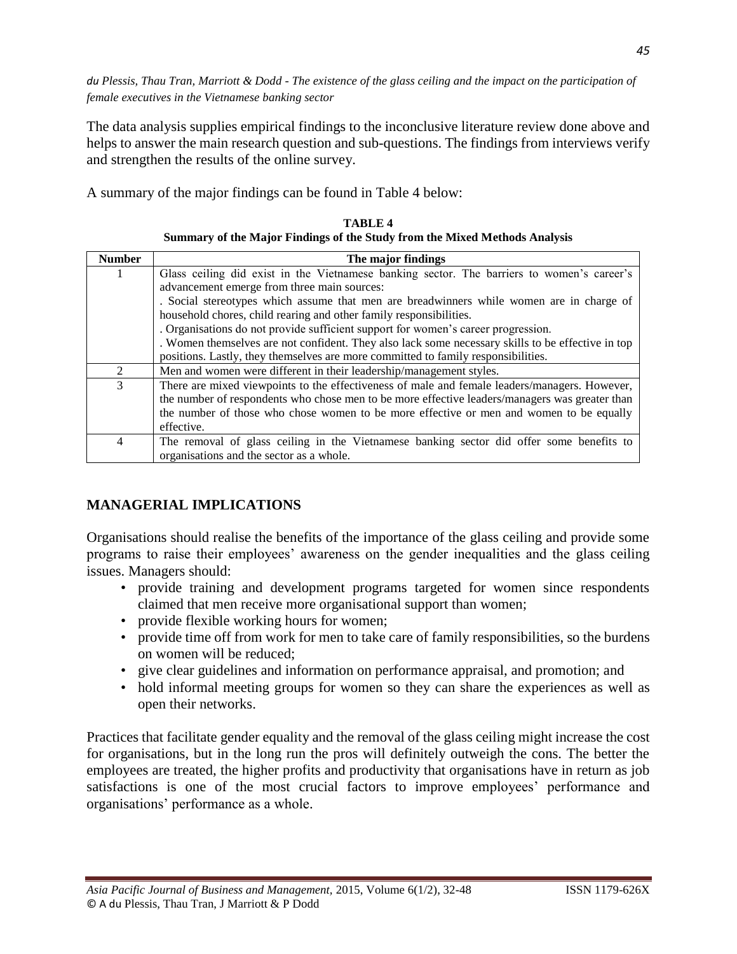The data analysis supplies empirical findings to the inconclusive literature review done above and helps to answer the main research question and sub-questions. The findings from interviews verify and strengthen the results of the online survey.

A summary of the major findings can be found in Table 4 below:

| <b>Number</b>  | The major findings                                                                                |  |  |  |
|----------------|---------------------------------------------------------------------------------------------------|--|--|--|
| 1              | Glass ceiling did exist in the Vietnamese banking sector. The barriers to women's career's        |  |  |  |
|                | advancement emerge from three main sources:                                                       |  |  |  |
|                | . Social stereotypes which assume that men are breadwinners while women are in charge of          |  |  |  |
|                | household chores, child rearing and other family responsibilities.                                |  |  |  |
|                | . Organisations do not provide sufficient support for women's career progression.                 |  |  |  |
|                | . Women themselves are not confident. They also lack some necessary skills to be effective in top |  |  |  |
|                | positions. Lastly, they themselves are more committed to family responsibilities.                 |  |  |  |
| 2              | Men and women were different in their leadership/management styles.                               |  |  |  |
| 3              | There are mixed viewpoints to the effectiveness of male and female leaders/managers. However,     |  |  |  |
|                | the number of respondents who chose men to be more effective leaders/managers was greater than    |  |  |  |
|                | the number of those who chose women to be more effective or men and women to be equally           |  |  |  |
|                | effective.                                                                                        |  |  |  |
| $\overline{4}$ | The removal of glass ceiling in the Vietnamese banking sector did offer some benefits to          |  |  |  |
|                | organisations and the sector as a whole.                                                          |  |  |  |

**TABLE 4 Summary of the Major Findings of the Study from the Mixed Methods Analysis**

# **MANAGERIAL IMPLICATIONS**

Organisations should realise the benefits of the importance of the glass ceiling and provide some programs to raise their employees' awareness on the gender inequalities and the glass ceiling issues. Managers should:

- provide training and development programs targeted for women since respondents claimed that men receive more organisational support than women;
- provide flexible working hours for women;
- provide time off from work for men to take care of family responsibilities, so the burdens on women will be reduced;
- give clear guidelines and information on performance appraisal, and promotion; and
- hold informal meeting groups for women so they can share the experiences as well as open their networks.

Practices that facilitate gender equality and the removal of the glass ceiling might increase the cost for organisations, but in the long run the pros will definitely outweigh the cons. The better the employees are treated, the higher profits and productivity that organisations have in return as job satisfactions is one of the most crucial factors to improve employees' performance and organisations' performance as a whole.

*45*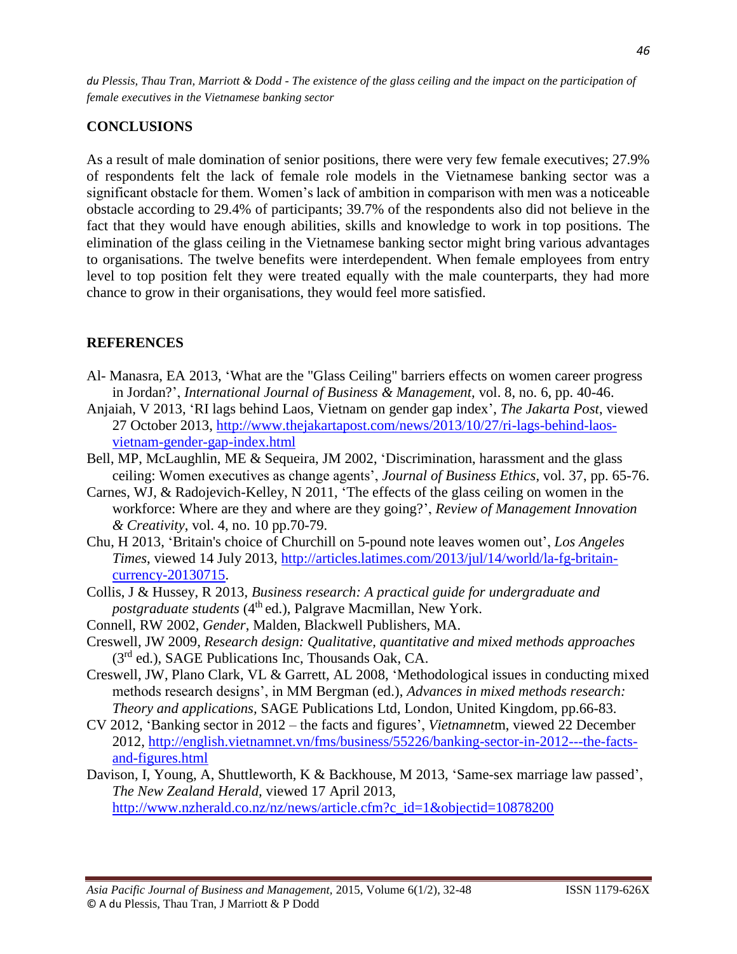## **CONCLUSIONS**

As a result of male domination of senior positions, there were very few female executives; 27.9% of respondents felt the lack of female role models in the Vietnamese banking sector was a significant obstacle for them. Women's lack of ambition in comparison with men was a noticeable obstacle according to 29.4% of participants; 39.7% of the respondents also did not believe in the fact that they would have enough abilities, skills and knowledge to work in top positions. The elimination of the glass ceiling in the Vietnamese banking sector might bring various advantages to organisations. The twelve benefits were interdependent. When female employees from entry level to top position felt they were treated equally with the male counterparts, they had more chance to grow in their organisations, they would feel more satisfied.

### **REFERENCES**

- Al- Manasra, EA 2013, 'What are the "Glass Ceiling" barriers effects on women career progress in Jordan?', *International Journal of Business & Management,* vol. 8, no. 6, pp. 40-46.
- Anjaiah, V 2013, 'RI lags behind Laos, Vietnam on gender gap index', *The Jakarta Post*, viewed 27 October 2013, [http://www.thejakartapost.com/news/2013/10/27/ri-lags-behind-laos](http://www.thejakartapost.com/news/2013/10/27/ri-lags-behind-laos-vietnam-gender-gap-index.html)[vietnam-gender-gap-index.html](http://www.thejakartapost.com/news/2013/10/27/ri-lags-behind-laos-vietnam-gender-gap-index.html)
- Bell, MP, McLaughlin, ME & Sequeira, JM 2002, 'Discrimination, harassment and the glass ceiling: Women executives as change agents', *Journal of Business Ethics*, vol. 37, pp. 65-76.
- Carnes, WJ, & Radojevich-Kelley, N 2011, 'The effects of the glass ceiling on women in the workforce: Where are they and where are they going?', *Review of Management Innovation & Creativity*, vol. 4, no. 10 pp.70-79.
- Chu, H 2013, 'Britain's choice of Churchill on 5-pound note leaves women out', *Los Angeles Times*, viewed 14 July 2013, [http://articles.latimes.com/2013/jul/14/world/la-fg-britain](http://articles.latimes.com/2013/jul/14/world/la-fg-britain-currency-20130715)[currency-20130715.](http://articles.latimes.com/2013/jul/14/world/la-fg-britain-currency-20130715)
- Collis, J & Hussey, R 2013, *Business research: A practical guide for undergraduate and postgraduate students* (4<sup>th</sup> ed.), Palgrave Macmillan, New York.
- Connell, RW 2002, *Gender*, Malden, Blackwell Publishers, MA.
- Creswell, JW 2009, *Research design: Qualitative, quantitative and mixed methods approaches* (3rd ed.), SAGE Publications Inc, Thousands Oak, CA.
- Creswell, JW, Plano Clark, VL & Garrett, AL 2008, 'Methodological issues in conducting mixed methods research designs', in MM Bergman (ed.), *Advances in mixed methods research: Theory and applications,* SAGE Publications Ltd, London, United Kingdom, pp.66-83.
- CV 2012, 'Banking sector in 2012 the facts and figures', *Vietnamnet*m, viewed 22 December 2012, [http://english.vietnamnet.vn/fms/business/55226/banking-sector-in-2012---the-facts](http://english.vietnamnet.vn/fms/business/55226/banking-sector-in-2012---the-facts-and-figures.html)[and-figures.html](http://english.vietnamnet.vn/fms/business/55226/banking-sector-in-2012---the-facts-and-figures.html)
- Davison, I, Young, A, Shuttleworth, K & Backhouse, M 2013, 'Same-sex marriage law passed', *The New Zealand Herald,* viewed 17 April 2013, [http://www.nzherald.co.nz/nz/news/article.cfm?c\\_id=1&objectid=10878200](http://www.nzherald.co.nz/nz/news/article.cfm?c_id=1&objectid=10878200)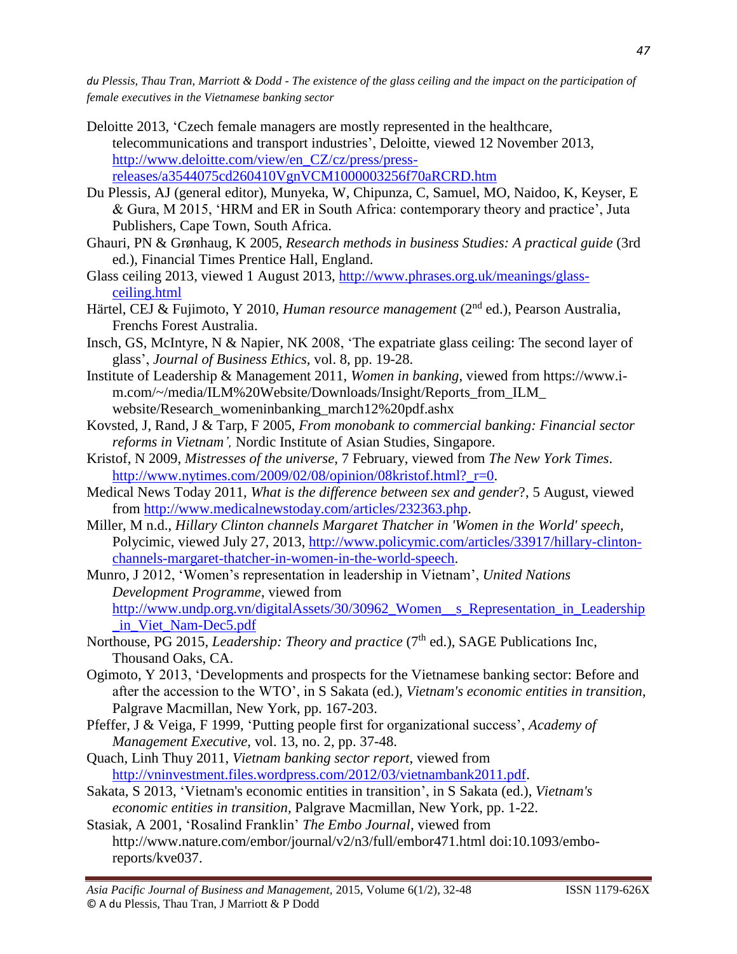- Deloitte 2013, 'Czech female managers are mostly represented in the healthcare, telecommunications and transport industries', Deloitte, viewed 12 November 2013, [http://www.deloitte.com/view/en\\_CZ/cz/press/press](http://www.deloitte.com/view/en_CZ/cz/press/press-releases/a3544075cd260410VgnVCM1000003256f70aRCRD.htm)[releases/a3544075cd260410VgnVCM1000003256f70aRCRD.htm](http://www.deloitte.com/view/en_CZ/cz/press/press-releases/a3544075cd260410VgnVCM1000003256f70aRCRD.htm)
- Du Plessis, AJ (general editor), Munyeka, W, Chipunza, C, Samuel, MO, Naidoo, K, Keyser, E & Gura, M 2015, 'HRM and ER in South Africa: contemporary theory and practice', Juta Publishers, Cape Town, South Africa.
- Ghauri, PN & Grønhaug, K 2005, *Research methods in business Studies: A practical guide* (3rd ed.), Financial Times Prentice Hall, England.
- Glass ceiling 2013, viewed 1 August 2013, [http://www.phrases.org.uk/meanings/glass](http://www.phrases.org.uk/meanings/glass-ceiling.html)[ceiling.html](http://www.phrases.org.uk/meanings/glass-ceiling.html)
- Härtel, CEJ & Fujimoto, Y 2010, *Human resource management* (2nd ed.), Pearson Australia, Frenchs Forest Australia.
- Insch, GS, McIntyre, N & Napier, NK 2008, 'The expatriate glass ceiling: The second layer of glass', *Journal of Business Ethics,* vol. 8, pp. 19-28.
- Institute of Leadership & Management 2011, *Women in banking*, viewed from https://www.im.com/~/media/ILM%20Website/Downloads/Insight/Reports\_from\_ILM\_ website/Research\_womeninbanking\_march12%20pdf.ashx
- Kovsted, J, Rand, J & Tarp, F 2005, *From monobank to commercial banking: Financial sector reforms in Vietnam',* Nordic Institute of Asian Studies, Singapore.
- Kristof, N 2009, *Mistresses of the universe*, 7 February, viewed from *The New York Times*. [http://www.nytimes.com/2009/02/08/opinion/08kristof.html?\\_r=0.](http://www.nytimes.com/2009/02/08/opinion/08kristof.html?_r=0)
- Medical News Today 2011, *What is the difference between sex and gender*?, 5 August, viewed from [http://www.medicalnewstoday.com/articles/232363.php.](http://www.medicalnewstoday.com/articles/232363.php)
- Miller, M n.d., *Hillary Clinton channels Margaret Thatcher in 'Women in the World' speech*, Polycimic, viewed July 27, 2013, [http://www.policymic.com/articles/33917/hillary-clinton](http://www.policymic.com/articles/33917/hillary-clinton-channels-margaret-thatcher-in-women-in-the-world-speech)[channels-margaret-thatcher-in-women-in-the-world-speech.](http://www.policymic.com/articles/33917/hillary-clinton-channels-margaret-thatcher-in-women-in-the-world-speech)
- Munro, J 2012, 'Women's representation in leadership in Vietnam', *United Nations Development Programme*, viewed from [http://www.undp.org.vn/digitalAssets/30/30962\\_Women\\_\\_s\\_Representation\\_in\\_Leadership](http://www.undp.org.vn/digitalAssets/30/30962_Women__s_Representation_in_Leadership_in_Viet_Nam-Dec5.pdf) [\\_in\\_Viet\\_Nam-Dec5.pdf](http://www.undp.org.vn/digitalAssets/30/30962_Women__s_Representation_in_Leadership_in_Viet_Nam-Dec5.pdf)
- Northouse, PG 2015, *Leadership: Theory and practice* (7<sup>th</sup> ed.), SAGE Publications Inc, Thousand Oaks, CA.
- Ogimoto, Y 2013, 'Developments and prospects for the Vietnamese banking sector: Before and after the accession to the WTO', in S Sakata (ed.), *Vietnam's economic entities in transition*, Palgrave Macmillan, New York, pp. 167-203.
- Pfeffer, J & Veiga, F 1999, 'Putting people first for organizational success', *Academy of Management Executive,* vol. 13, no. 2, pp. 37-48.
- Quach, Linh Thuy 2011, *Vietnam banking sector report*, viewed from [http://vninvestment.files.wordpress.com/2012/03/vietnambank2011.pdf.](http://vninvestment.files.wordpress.com/2012/03/vietnambank2011.pdf)
- Sakata, S 2013, 'Vietnam's economic entities in transition', in S Sakata (ed.), *Vietnam's economic entities in transition,* Palgrave Macmillan, New York, pp. 1-22.
- Stasiak, A 2001, 'Rosalind Franklin' *The Embo Journal*, viewed from http://www.nature.com/embor/journal/v2/n3/full/embor471.html doi:10.1093/emboreports/kve037.